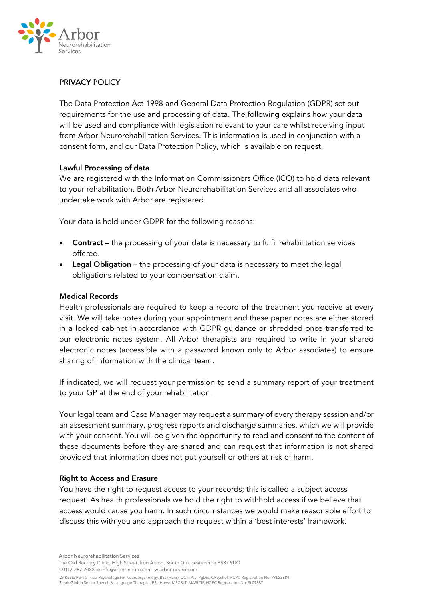

# PRIVACY POLICY

The Data Protection Act 1998 and General Data Protection Regulation (GDPR) set out requirements for the use and processing of data. The following explains how your data will be used and compliance with legislation relevant to your care whilst receiving input from Arbor Neurorehabilitation Services. This information is used in conjunction with a consent form, and our Data Protection Policy, which is available on request.

#### Lawful Processing of data

We are registered with the Information Commissioners Office (ICO) to hold data relevant to your rehabilitation. Both Arbor Neurorehabilitation Services and all associates who undertake work with Arbor are registered.

Your data is held under GDPR for the following reasons:

- Contract the processing of your data is necessary to fulfil rehabilitation services offered.
- Legal Obligation the processing of your data is necessary to meet the legal obligations related to your compensation claim.

## Medical Records

Health professionals are required to keep a record of the treatment you receive at every visit. We will take notes during your appointment and these paper notes are either stored in a locked cabinet in accordance with GDPR guidance or shredded once transferred to our electronic notes system. All Arbor therapists are required to write in your shared electronic notes (accessible with a password known only to Arbor associates) to ensure sharing of information with the clinical team.

If indicated, we will request your permission to send a summary report of your treatment to your GP at the end of your rehabilitation.

Your legal team and Case Manager may request a summary of every therapy session and/or an assessment summary, progress reports and discharge summaries, which we will provide with your consent. You will be given the opportunity to read and consent to the content of these documents before they are shared and can request that information is not shared provided that information does not put yourself or others at risk of harm.

#### Right to Access and Erasure

You have the right to request access to your records; this is called a subject access request. As health professionals we hold the right to withhold access if we believe that access would cause you harm. In such circumstances we would make reasonable effort to discuss this with you and approach the request within a 'best interests' framework.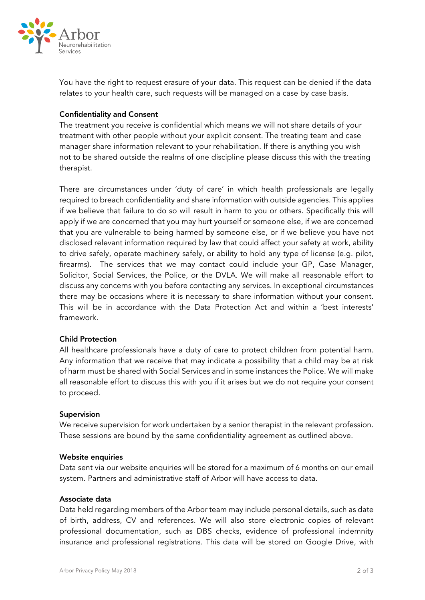

You have the right to request erasure of your data. This request can be denied if the data relates to your health care, such requests will be managed on a case by case basis.

#### Confidentiality and Consent

The treatment you receive is confidential which means we will not share details of your treatment with other people without your explicit consent. The treating team and case manager share information relevant to your rehabilitation. If there is anything you wish not to be shared outside the realms of one discipline please discuss this with the treating therapist.

There are circumstances under 'duty of care' in which health professionals are legally required to breach confidentiality and share information with outside agencies. This applies if we believe that failure to do so will result in harm to you or others. Specifically this will apply if we are concerned that you may hurt yourself or someone else, if we are concerned that you are vulnerable to being harmed by someone else, or if we believe you have not disclosed relevant information required by law that could affect your safety at work, ability to drive safely, operate machinery safely, or ability to hold any type of license (e.g. pilot, firearms). The services that we may contact could include your GP, Case Manager, Solicitor, Social Services, the Police, or the DVLA. We will make all reasonable effort to discuss any concerns with you before contacting any services. In exceptional circumstances there may be occasions where it is necessary to share information without your consent. This will be in accordance with the Data Protection Act and within a 'best interests' framework.

## Child Protection

All healthcare professionals have a duty of care to protect children from potential harm. Any information that we receive that may indicate a possibility that a child may be at risk of harm must be shared with Social Services and in some instances the Police. We will make all reasonable effort to discuss this with you if it arises but we do not require your consent to proceed.

#### Supervision

We receive supervision for work undertaken by a senior therapist in the relevant profession. These sessions are bound by the same confidentiality agreement as outlined above.

#### Website enquiries

Data sent via our website enquiries will be stored for a maximum of 6 months on our email system. Partners and administrative staff of Arbor will have access to data.

#### Associate data

Data held regarding members of the Arbor team may include personal details, such as date of birth, address, CV and references. We will also store electronic copies of relevant professional documentation, such as DBS checks, evidence of professional indemnity insurance and professional registrations. This data will be stored on Google Drive, with